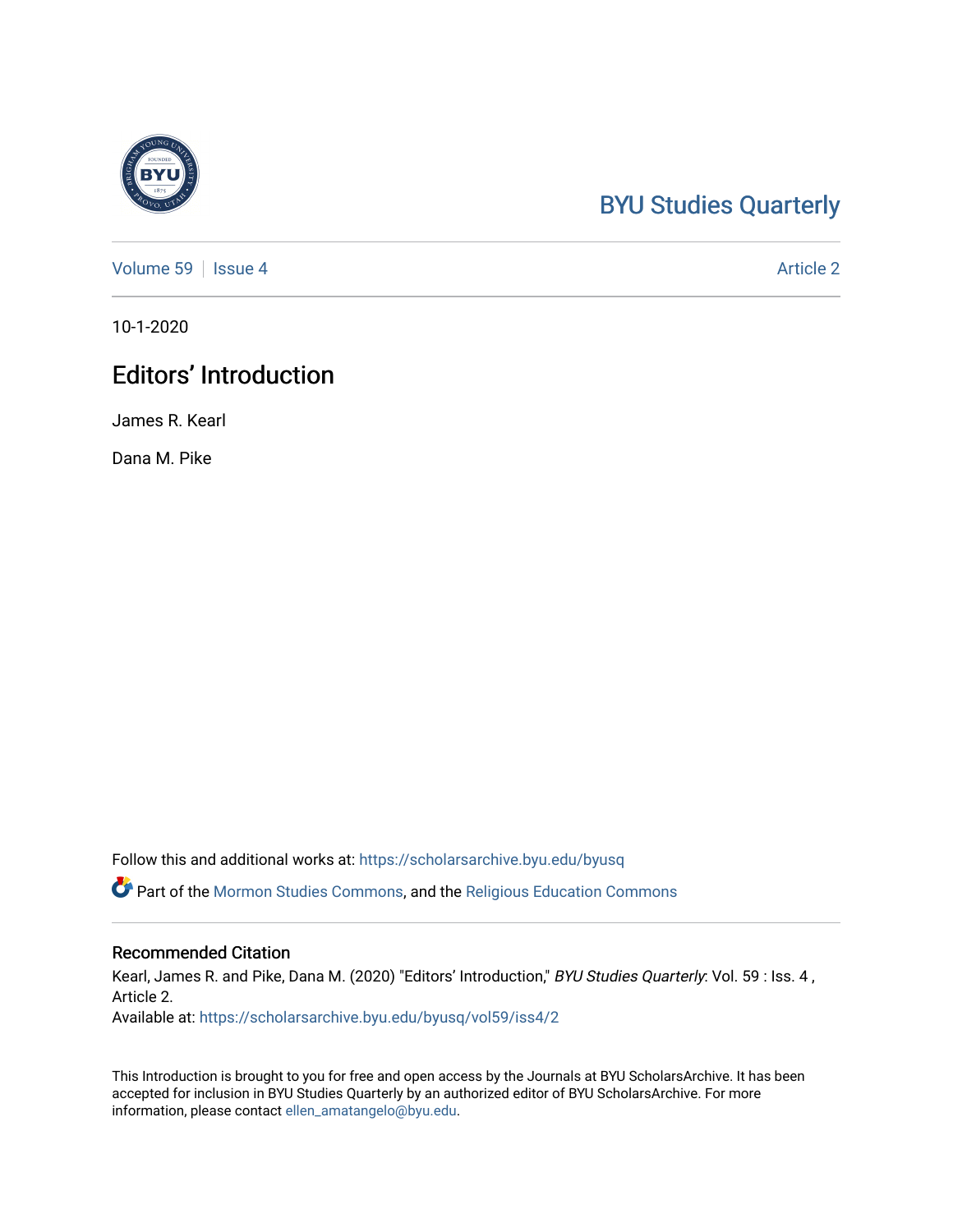## [BYU Studies Quarterly](https://scholarsarchive.byu.edu/byusq)

[Volume 59](https://scholarsarchive.byu.edu/byusq/vol59) | [Issue 4](https://scholarsarchive.byu.edu/byusq/vol59/iss4) Article 2

10-1-2020

## Editors' Introduction

James R. Kearl

Dana M. Pike

Follow this and additional works at: [https://scholarsarchive.byu.edu/byusq](https://scholarsarchive.byu.edu/byusq?utm_source=scholarsarchive.byu.edu%2Fbyusq%2Fvol59%2Fiss4%2F2&utm_medium=PDF&utm_campaign=PDFCoverPages) 

Part of the [Mormon Studies Commons](http://network.bepress.com/hgg/discipline/1360?utm_source=scholarsarchive.byu.edu%2Fbyusq%2Fvol59%2Fiss4%2F2&utm_medium=PDF&utm_campaign=PDFCoverPages), and the [Religious Education Commons](http://network.bepress.com/hgg/discipline/1414?utm_source=scholarsarchive.byu.edu%2Fbyusq%2Fvol59%2Fiss4%2F2&utm_medium=PDF&utm_campaign=PDFCoverPages) 

## Recommended Citation

Kearl, James R. and Pike, Dana M. (2020) "Editors' Introduction," BYU Studies Quarterly: Vol. 59 : Iss. 4, Article 2.

Available at: [https://scholarsarchive.byu.edu/byusq/vol59/iss4/2](https://scholarsarchive.byu.edu/byusq/vol59/iss4/2?utm_source=scholarsarchive.byu.edu%2Fbyusq%2Fvol59%2Fiss4%2F2&utm_medium=PDF&utm_campaign=PDFCoverPages)

This Introduction is brought to you for free and open access by the Journals at BYU ScholarsArchive. It has been accepted for inclusion in BYU Studies Quarterly by an authorized editor of BYU ScholarsArchive. For more information, please contact [ellen\\_amatangelo@byu.edu.](mailto:ellen_amatangelo@byu.edu)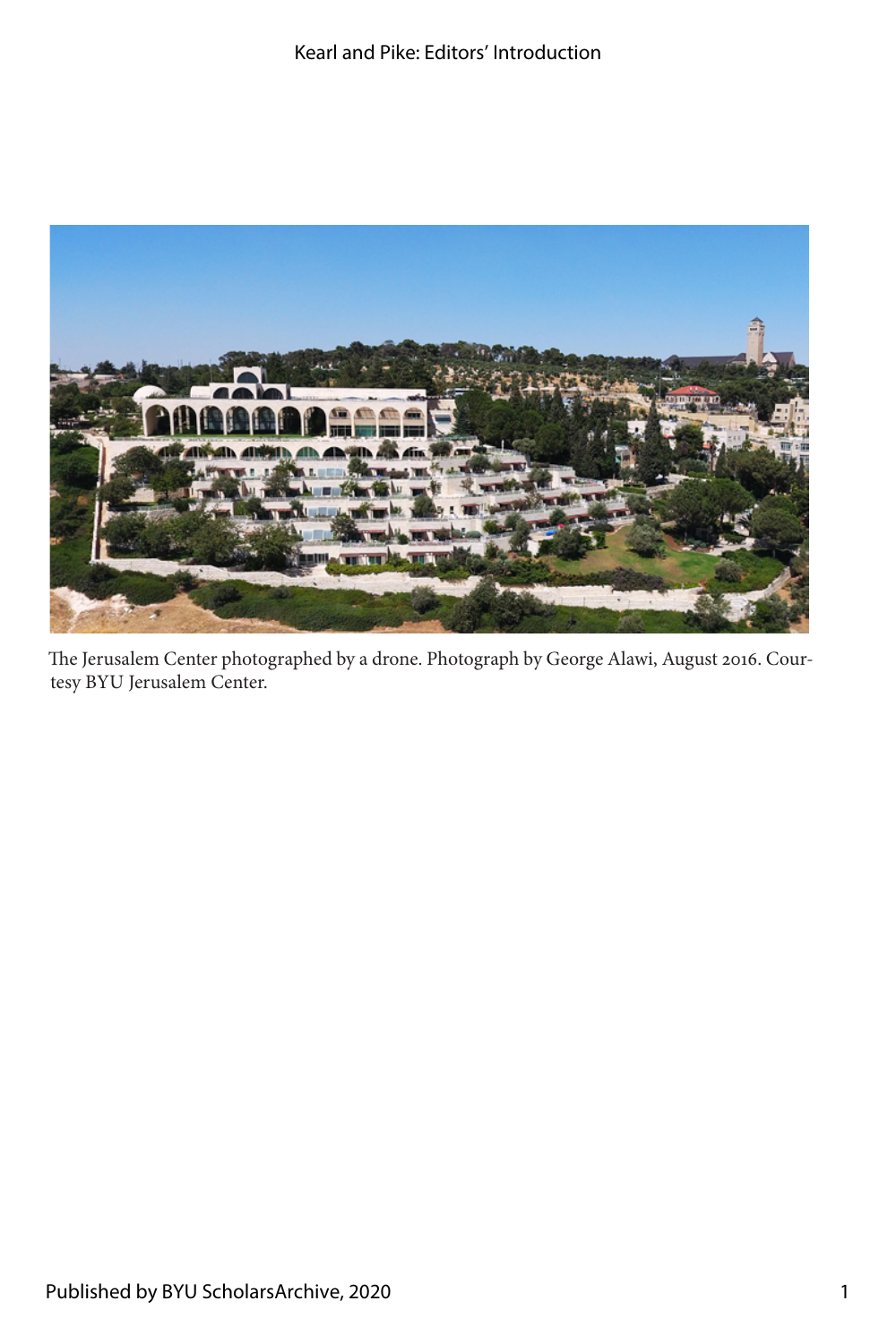

The Jerusalem Center photographed by a drone. Photograph by George Alawi, August 2016. Courtesy BYU Jerusalem Center.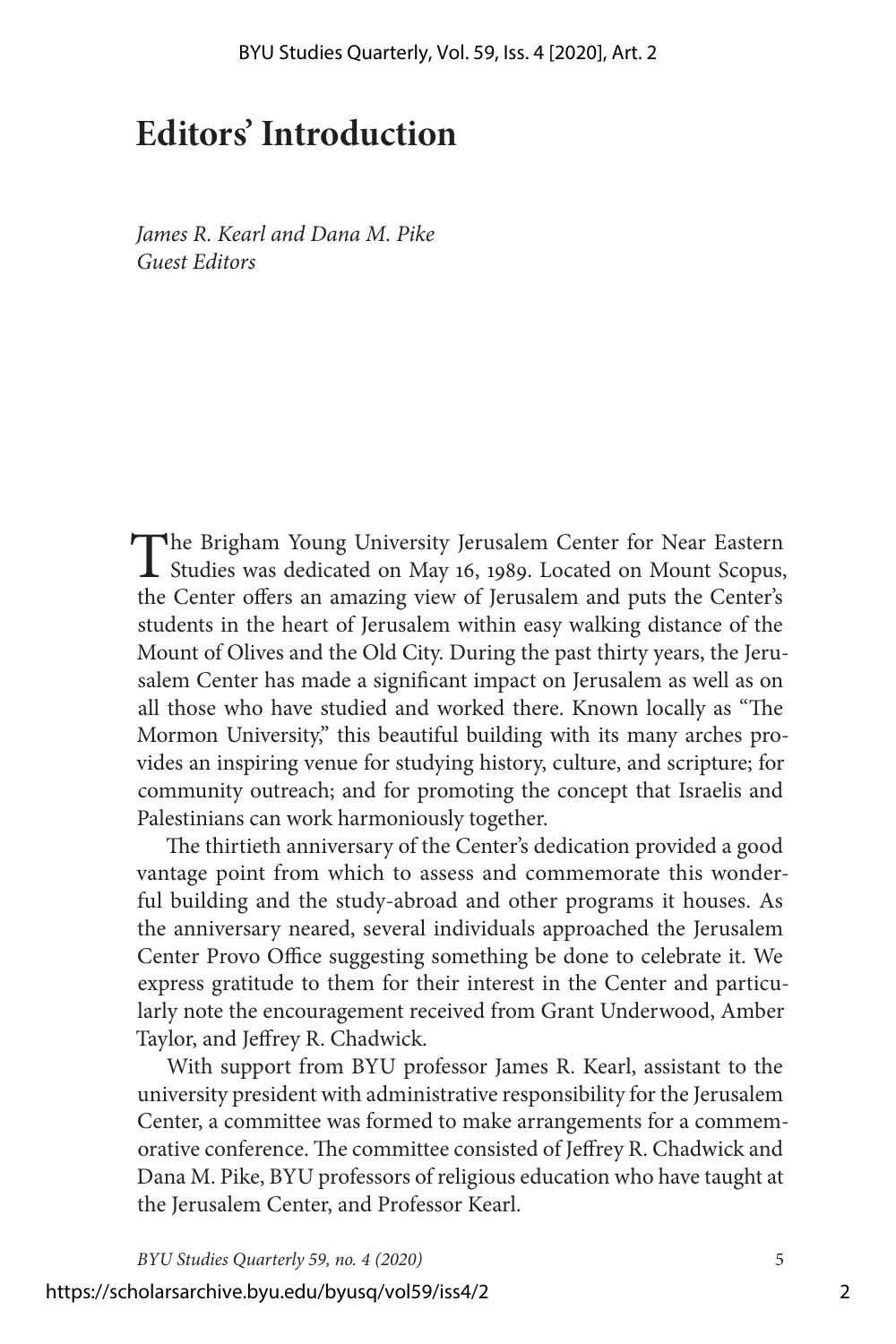## **Editors' Introduction**

*James R. Kearl and Dana M. Pike Guest Editors*

The Brigham Young University Jerusalem Center for Near Eastern Studies was dedicated on May 16, 1989. Located on Mount Scopus, the Center offers an amazing view of Jerusalem and puts the Center's students in the heart of Jerusalem within easy walking distance of the Mount of Olives and the Old City. During the past thirty years, the Jerusalem Center has made a significant impact on Jerusalem as well as on all those who have studied and worked there. Known locally as "The Mormon University," this beautiful building with its many arches provides an inspiring venue for studying history, culture, and scripture; for community outreach; and for promoting the concept that Israelis and Palestinians can work harmoniously together.

The thirtieth anniversary of the Center's dedication provided a good vantage point from which to assess and commemorate this wonderful building and the study-abroad and other programs it houses. As the anniversary neared, several individuals approached the Jerusalem Center Provo Office suggesting something be done to celebrate it. We express gratitude to them for their interest in the Center and particularly note the encouragement received from Grant Underwood, Amber Taylor, and Jeffrey R. Chadwick.

With support from BYU professor James R. Kearl, assistant to the university president with administrative responsibility for the Jerusalem Center, a committee was formed to make arrangements for a commemorative conference. The committee consisted of Jeffrey R. Chadwick and Dana M. Pike, BYU professors of religious education who have taught at the Jerusalem Center, and Professor Kearl.

*BYU Studies Quarterly 59, no. 4 (2020)* 5

https://scholarsarchive.byu.edu/byusq/vol59/iss4/2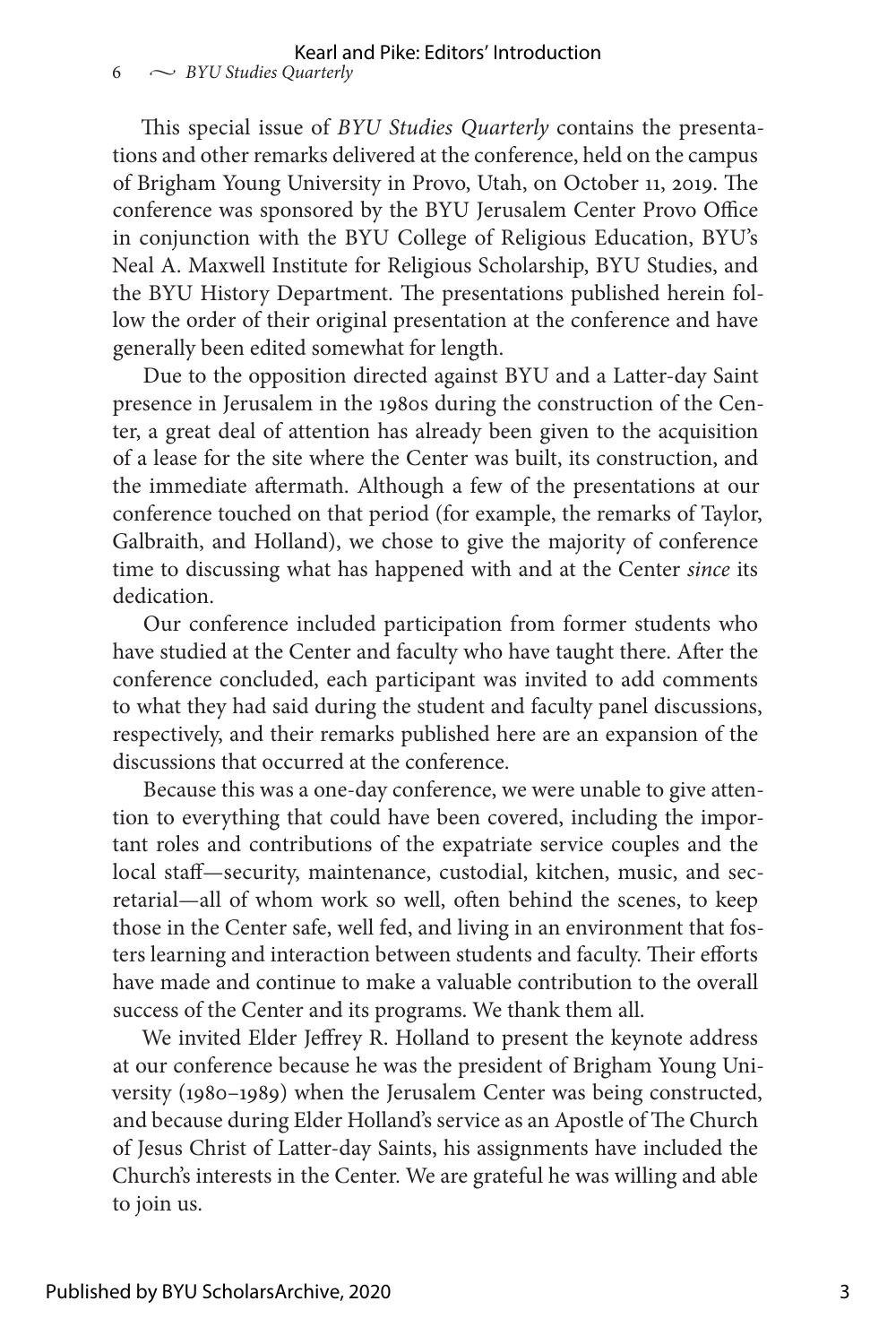This special issue of *BYU Studies Quarterly* contains the presentations and other remarks delivered at the conference, held on the campus of Brigham Young University in Provo, Utah, on October 11, 2019. The conference was sponsored by the BYU Jerusalem Center Provo Office in conjunction with the BYU College of Religious Education, BYU's Neal A. Maxwell Institute for Religious Scholarship, BYU Studies, and the BYU History Department. The presentations published herein follow the order of their original presentation at the conference and have generally been edited somewhat for length.

Due to the opposition directed against BYU and a Latter-day Saint presence in Jerusalem in the 1980s during the construction of the Center, a great deal of attention has already been given to the acquisition of a lease for the site where the Center was built, its construction, and the immediate aftermath. Although a few of the presentations at our conference touched on that period (for example, the remarks of Taylor, Galbraith, and Holland), we chose to give the majority of conference time to discussing what has happened with and at the Center *since* its dedication.

Our conference included participation from former students who have studied at the Center and faculty who have taught there. After the conference concluded, each participant was invited to add comments to what they had said during the student and faculty panel discussions, respectively, and their remarks published here are an expansion of the discussions that occurred at the conference.

Because this was a one-day conference, we were unable to give attention to everything that could have been covered, including the important roles and contributions of the expatriate service couples and the local staff—security, maintenance, custodial, kitchen, music, and secretarial—all of whom work so well, often behind the scenes, to keep those in the Center safe, well fed, and living in an environment that fosters learning and interaction between students and faculty. Their efforts have made and continue to make a valuable contribution to the overall success of the Center and its programs. We thank them all.

We invited Elder Jeffrey R. Holland to present the keynote address at our conference because he was the president of Brigham Young University (1980–1989) when the Jerusalem Center was being constructed, and because during Elder Holland's service as an Apostle of The Church of Jesus Christ of Latter-day Saints, his assignments have included the Church's interests in the Center. We are grateful he was willing and able to join us.